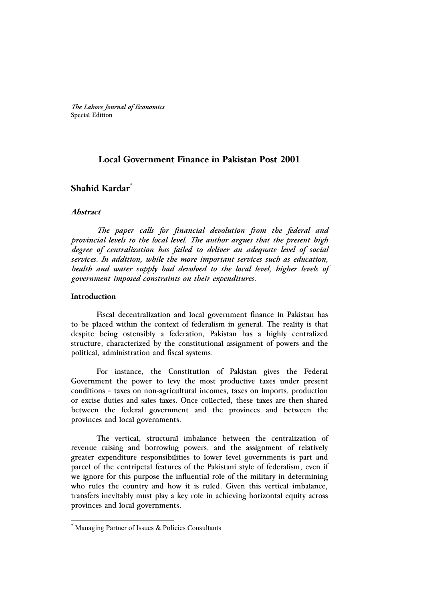*The Lahore Journal of Economics* Special Edition

# **Local Government Finance in Pakistan Post 2001**

# **Shahid Kardar\***

### **Abstract**

 *The paper calls for financial devolution from the federal and provincial levels to the local level. The author argues that the present high degree of centralization has failed to deliver an adequate level of social services. In addition, while the more important services such as education, health and water supply had devolved to the local level, higher levels of government imposed constraints on their expenditures.* 

### **Introduction**

-

Fiscal decentralization and local government finance in Pakistan has to be placed within the context of federalism in general. The reality is that despite being ostensibly a federation, Pakistan has a highly centralized structure, characterized by the constitutional assignment of powers and the political, administration and fiscal systems.

For instance, the Constitution of Pakistan gives the Federal Government the power to levy the most productive taxes under present conditions – taxes on non-agricultural incomes, taxes on imports, production or excise duties and sales taxes. Once collected, these taxes are then shared between the federal government and the provinces and between the provinces and local governments.

The vertical, structural imbalance between the centralization of revenue raising and borrowing powers, and the assignment of relatively greater expenditure responsibilities to lower level governments is part and parcel of the centripetal features of the Pakistani style of federalism, even if we ignore for this purpose the influential role of the military in determining who rules the country and how it is ruled. Given this vertical imbalance, transfers inevitably must play a key role in achieving horizontal equity across provinces and local governments.

<sup>\*</sup> Managing Partner of Issues & Policies Consultants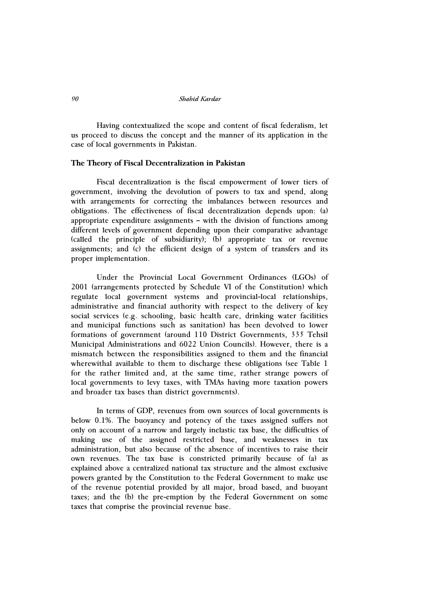Having contextualized the scope and content of fiscal federalism, let us proceed to discuss the concept and the manner of its application in the case of local governments in Pakistan.

#### **The Theory of Fiscal Decentralization in Pakistan**

Fiscal decentralization is the fiscal empowerment of lower tiers of government, involving the devolution of powers to tax and spend, along with arrangements for correcting the imbalances between resources and obligations. The effectiveness of fiscal decentralization depends upon: (a) appropriate expenditure assignments – with the division of functions among different levels of government depending upon their comparative advantage (called the principle of subsidiarity); (b) appropriate tax or revenue assignments; and (c) the efficient design of a system of transfers and its proper implementation.

Under the Provincial Local Government Ordinances (LGOs) of 2001 (arrangements protected by Schedule VI of the Constitution) which regulate local government systems and provincial-local relationships, administrative and financial authority with respect to the delivery of key social services (e.g. schooling, basic health care, drinking water facilities and municipal functions such as sanitation) has been devolved to lower formations of government (around 110 District Governments, 335 Tehsil Municipal Administrations and 6022 Union Councils). However, there is a mismatch between the responsibilities assigned to them and the financial wherewithal available to them to discharge these obligations (see Table 1 for the rather limited and, at the same time, rather strange powers of local governments to levy taxes, with TMAs having more taxation powers and broader tax bases than district governments).

In terms of GDP, revenues from own sources of local governments is below 0.1%. The buoyancy and potency of the taxes assigned suffers not only on account of a narrow and largely inelastic tax base, the difficulties of making use of the assigned restricted base, and weaknesses in tax administration, but also because of the absence of incentives to raise their own revenues. The tax base is constricted primarily because of (a) as explained above a centralized national tax structure and the almost exclusive powers granted by the Constitution to the Federal Government to make use of the revenue potential provided by all major, broad based, and buoyant taxes; and the (b) the pre-emption by the Federal Government on some taxes that comprise the provincial revenue base.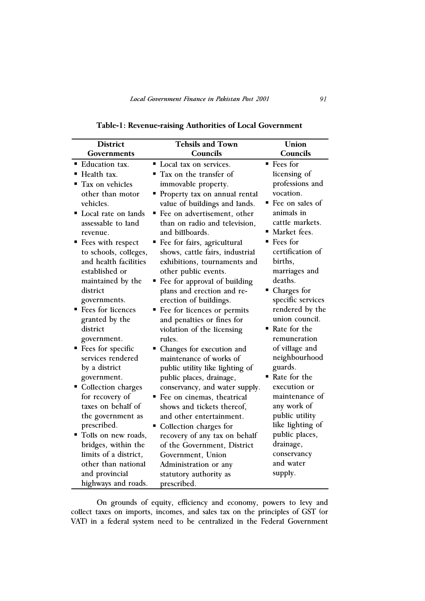| <b>District</b>                                                                                                                                                                                                                                                                                                                                                                                                                                                                                                                                                                                                                 | <b>Tehsils and Town</b>                                                                                                                                                                                                                                                                                                                                                                                                                                                                                                                                                                                                                                                                                                                                                                                                                                                                                                                        | Union                                                                                                                                                                                                                                                                                                                                                                                                                                                                                                                                             |
|---------------------------------------------------------------------------------------------------------------------------------------------------------------------------------------------------------------------------------------------------------------------------------------------------------------------------------------------------------------------------------------------------------------------------------------------------------------------------------------------------------------------------------------------------------------------------------------------------------------------------------|------------------------------------------------------------------------------------------------------------------------------------------------------------------------------------------------------------------------------------------------------------------------------------------------------------------------------------------------------------------------------------------------------------------------------------------------------------------------------------------------------------------------------------------------------------------------------------------------------------------------------------------------------------------------------------------------------------------------------------------------------------------------------------------------------------------------------------------------------------------------------------------------------------------------------------------------|---------------------------------------------------------------------------------------------------------------------------------------------------------------------------------------------------------------------------------------------------------------------------------------------------------------------------------------------------------------------------------------------------------------------------------------------------------------------------------------------------------------------------------------------------|
| Governments                                                                                                                                                                                                                                                                                                                                                                                                                                                                                                                                                                                                                     | Councils                                                                                                                                                                                                                                                                                                                                                                                                                                                                                                                                                                                                                                                                                                                                                                                                                                                                                                                                       | Councils                                                                                                                                                                                                                                                                                                                                                                                                                                                                                                                                          |
| <b>Education tax.</b><br>■ Health tax.<br>• Tax on vehicles<br>other than motor<br>vehicles.<br>• Local rate on lands<br>assessable to land<br>revenue.<br>■ Fees with respect<br>to schools, colleges,<br>and health facilities<br>established or<br>maintained by the<br>district<br>governments.<br>■ Fees for licences<br>granted by the<br>district<br>government.<br>■ Fees for specific<br>services rendered<br>by a district<br>government.<br>Collection charges<br>for recovery of<br>taxes on behalf of<br>the government as<br>prescribed.<br>" Tolls on new roads,<br>bridges, within the<br>limits of a district, | Local tax on services.<br>$\blacksquare$ Tax on the transfer of<br>immovable property.<br>• Property tax on annual rental<br>value of buildings and lands.<br>■ Fee on advertisement, other<br>than on radio and television,<br>and billboards.<br>" Fee for fairs, agricultural<br>shows, cattle fairs, industrial<br>exhibitions, tournaments and<br>other public events.<br>" Fee for approval of building<br>plans and erection and re-<br>erection of buildings.<br>■ Fee for licences or permits<br>and penalties or fines for<br>violation of the licensing<br>rules.<br>• Changes for execution and<br>maintenance of works of<br>public utility like lighting of<br>public places, drainage,<br>conservancy, and water supply.<br>Fee on cinemas, theatrical<br>shows and tickets thereof,<br>and other entertainment.<br>Collection charges for<br>recovery of any tax on behalf<br>of the Government, District<br>Government, Union | $\blacksquare$ Fees for<br>licensing of<br>professions and<br>vocation.<br>$\blacksquare$ Fee on sales of<br>animals in<br>cattle markets.<br>Market fees.<br>Fees for<br>certification of<br>births,<br>marriages and<br>deaths.<br>• Charges for<br>specific services<br>rendered by the<br>union council.<br>■ Rate for the<br>remuneration<br>of village and<br>neighbourhood<br>guards.<br>Rate for the<br>execution or<br>maintenance of<br>any work of<br>public utility<br>like lighting of<br>public places,<br>drainage,<br>conservancy |
| other than national                                                                                                                                                                                                                                                                                                                                                                                                                                                                                                                                                                                                             | Administration or any                                                                                                                                                                                                                                                                                                                                                                                                                                                                                                                                                                                                                                                                                                                                                                                                                                                                                                                          | and water                                                                                                                                                                                                                                                                                                                                                                                                                                                                                                                                         |
| and provincial<br>highways and roads.                                                                                                                                                                                                                                                                                                                                                                                                                                                                                                                                                                                           | statutory authority as<br>prescribed.                                                                                                                                                                                                                                                                                                                                                                                                                                                                                                                                                                                                                                                                                                                                                                                                                                                                                                          | supply.                                                                                                                                                                                                                                                                                                                                                                                                                                                                                                                                           |

**Table-1: Revenue-raising Authorities of Local Government** 

On grounds of equity, efficiency and economy, powers to levy and collect taxes on imports, incomes, and sales tax on the principles of GST (or VAT) in a federal system need to be centralized in the Federal Government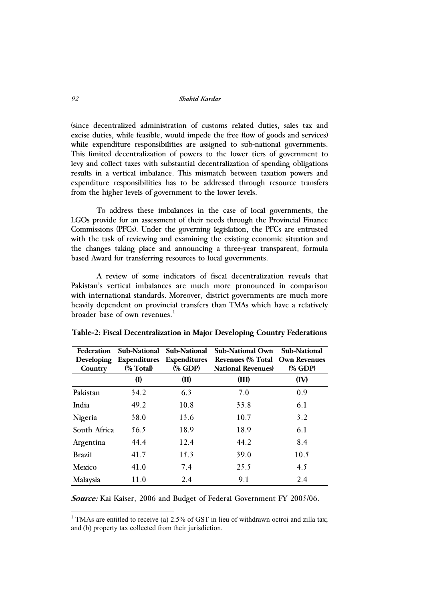(since decentralized administration of customs related duties, sales tax and excise duties, while feasible, would impede the free flow of goods and services) while expenditure responsibilities are assigned to sub-national governments. This limited decentralization of powers to the lower tiers of government to levy and collect taxes with substantial decentralization of spending obligations results in a vertical imbalance. This mismatch between taxation powers and expenditure responsibilities has to be addressed through resource transfers from the higher levels of government to the lower levels.

To address these imbalances in the case of local governments, the LGOs provide for an assessment of their needs through the Provincial Finance Commissions (PFCs). Under the governing legislation, the PFCs are entrusted with the task of reviewing and examining the existing economic situation and the changes taking place and announcing a three-year transparent, formula based Award for transferring resources to local governments.

A review of some indicators of fiscal decentralization reveals that Pakistan's vertical imbalances are much more pronounced in comparison with international standards. Moreover, district governments are much more heavily dependent on provincial transfers than TMAs which have a relatively broader base of own revenues. $1$ 

| Federation<br>Developing<br>Country | Sub-National<br><b>Expenditures</b><br>(% Total) | Sub-National<br><b>Expenditures</b><br>(% GDP) | <b>Sub-National Own</b><br>Revenues (% Total Own Revenues<br><b>National Revenues</b> ) | <b>Sub-National</b><br>(% GDP) |
|-------------------------------------|--------------------------------------------------|------------------------------------------------|-----------------------------------------------------------------------------------------|--------------------------------|
|                                     | (I)                                              | (II)                                           | (III)                                                                                   | (IV)                           |
| Pakistan                            | 34.2                                             | 6.3                                            | 7.0                                                                                     | 0.9                            |
| India                               | 49.2                                             | 10.8                                           | 33.8                                                                                    | 6.1                            |
| Nigeria                             | 38.0                                             | 13.6                                           | 10.7                                                                                    | 3.2                            |
| South Africa                        | 56.5                                             | 18.9                                           | 18.9                                                                                    | 6.1                            |
| Argentina                           | 44.4                                             | 12.4                                           | 44.2                                                                                    | 8.4                            |
| <b>Brazil</b>                       | 41.7                                             | 15.3                                           | 39.0                                                                                    | 10.5                           |
| Mexico                              | 41.0                                             | 7.4                                            | 25.5                                                                                    | 4.5                            |
| Malaysia                            | 11.0                                             | 2.4                                            | 9.1                                                                                     | 2.4                            |

|  | Table-2: Fiscal Decentralization in Major Developing Country Federations |  |  |  |  |
|--|--------------------------------------------------------------------------|--|--|--|--|
|--|--------------------------------------------------------------------------|--|--|--|--|

**Source:** Kai Kaiser, 2006 and Budget of Federal Government FY 2005/06.

<sup>1</sup> TMAs are entitled to receive (a) 2.5% of GST in lieu of withdrawn octroi and zilla tax; and (b) property tax collected from their jurisdiction.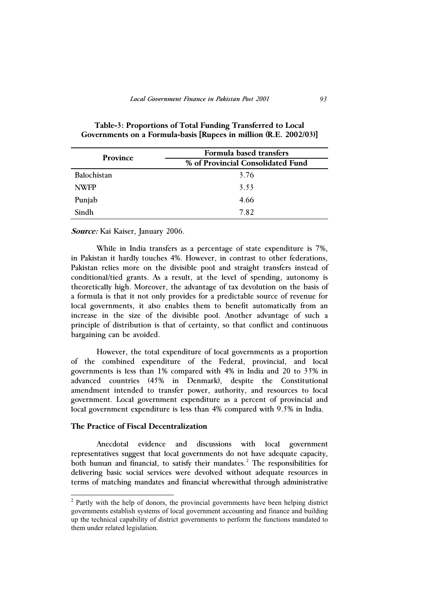| <b>Province</b> | Formula based transfers           |  |
|-----------------|-----------------------------------|--|
|                 | % of Provincial Consolidated Fund |  |
| Balochistan     | 3.76                              |  |
| <b>NWFP</b>     | 3.53                              |  |
| Punjab          | 4.66                              |  |
| Sindh           | 7.82                              |  |

# **Table-3: Proportions of Total Funding Transferred to Local Governments on a Formula-basis [Rupees in million (R.E. 2002/03)]**

### **Source:** Kai Kaiser, January 2006.

While in India transfers as a percentage of state expenditure is 7%, in Pakistan it hardly touches 4%. However, in contrast to other federations, Pakistan relies more on the divisible pool and straight transfers instead of conditional/tied grants. As a result, at the level of spending, autonomy is theoretically high. Moreover, the advantage of tax devolution on the basis of a formula is that it not only provides for a predictable source of revenue for local governments, it also enables them to benefit automatically from an increase in the size of the divisible pool. Another advantage of such a principle of distribution is that of certainty, so that conflict and continuous bargaining can be avoided.

However, the total expenditure of local governments as a proportion of the combined expenditure of the Federal, provincial, and local governments is less than 1% compared with 4% in India and 20 to 35% in advanced countries (45% in Denmark), despite the Constitutional amendment intended to transfer power, authority, and resources to local government. Local government expenditure as a percent of provincial and local government expenditure is less than 4% compared with 9.5% in India.

## **The Practice of Fiscal Decentralization**

-

Anecdotal evidence and discussions with local government representatives suggest that local governments do not have adequate capacity, both human and financial, to satisfy their mandates.<sup>2</sup> The responsibilities for delivering basic social services were devolved without adequate resources in terms of matching mandates and financial wherewithal through administrative

 $2$  Partly with the help of donors, the provincial governments have been helping district governments establish systems of local government accounting and finance and building up the technical capability of district governments to perform the functions mandated to them under related legislation.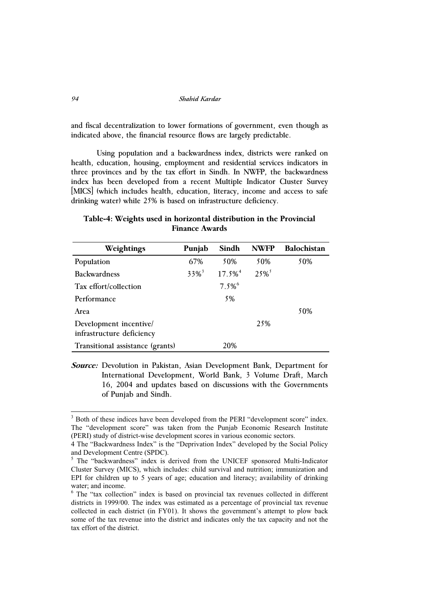and fiscal decentralization to lower formations of government, even though as indicated above, the financial resource flows are largely predictable.

Using population and a backwardness index, districts were ranked on health, education, housing, employment and residential services indicators in three provinces and by the tax effort in Sindh. In NWFP, the backwardness index has been developed from a recent Multiple Indicator Cluster Survey [MICS] (which includes health, education, literacy, income and access to safe drinking water) while 25% is based on infrastructure deficiency.

## **Table-4: Weights used in horizontal distribution in the Provincial Finance Awards**

| Weightings                                          | Punjab              | Sindh                 | <b>NWFP</b> | <b>Balochistan</b> |
|-----------------------------------------------------|---------------------|-----------------------|-------------|--------------------|
| Population                                          | 67%                 | 50%                   | 50%         | 50%                |
| <b>Backwardness</b>                                 | $33\%$ <sup>3</sup> | $17.5\%$ <sup>4</sup> | $25\%$      |                    |
| Tax effort/collection                               |                     | $7.5\%$ <sup>6</sup>  |             |                    |
| Performance                                         |                     | 5%                    |             |                    |
| Area                                                |                     |                       |             | 50%                |
| Development incentive/<br>infrastructure deficiency |                     |                       | 25%         |                    |
| Transitional assistance (grants)                    |                     | 20%                   |             |                    |

**Source:** Devolution in Pakistan, Asian Development Bank, Department for International Development, World Bank, 3 Volume Draft, March 16, 2004 and updates based on discussions with the Governments of Punjab and Sindh.

-

<sup>&</sup>lt;sup>3</sup> Both of these indices have been developed from the PERI "development score" index. The "development score" was taken from the Punjab Economic Research Institute (PERI) study of district-wise development scores in various economic sectors.

<sup>4</sup> The "Backwardness Index" is the "Deprivation Index" developed by the Social Policy and Development Centre (SPDC).

<sup>&</sup>lt;sup>5</sup> The "backwardness" index is derived from the UNICEF sponsored Multi-Indicator Cluster Survey (MICS), which includes: child survival and nutrition; immunization and EPI for children up to 5 years of age; education and literacy; availability of drinking water; and income.

<sup>&</sup>lt;sup>6</sup> The "tax collection" index is based on provincial tax revenues collected in different districts in 1999/00. The index was estimated as a percentage of provincial tax revenue collected in each district (in FY01). It shows the government's attempt to plow back some of the tax revenue into the district and indicates only the tax capacity and not the tax effort of the district.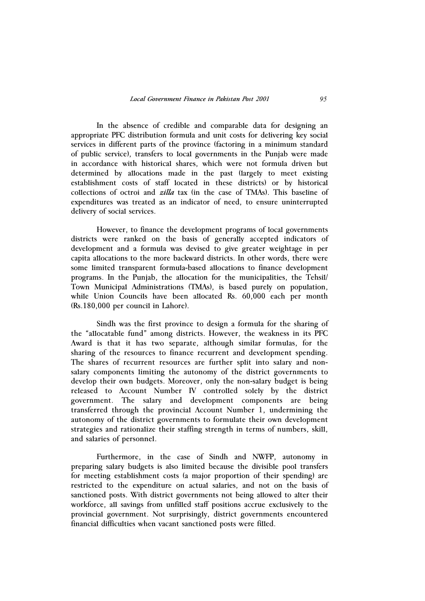In the absence of credible and comparable data for designing an appropriate PFC distribution formula and unit costs for delivering key social services in different parts of the province (factoring in a minimum standard of public service), transfers to local governments in the Punjab were made in accordance with historical shares, which were not formula driven but determined by allocations made in the past (largely to meet existing establishment costs of staff located in these districts) or by historical collections of octroi and *zilla* tax (in the case of TMAs). This baseline of expenditures was treated as an indicator of need, to ensure uninterrupted delivery of social services.

However, to finance the development programs of local governments districts were ranked on the basis of generally accepted indicators of development and a formula was devised to give greater weightage in per capita allocations to the more backward districts. In other words, there were some limited transparent formula-based allocations to finance development programs. In the Punjab, the allocation for the municipalities, the Tehsil/ Town Municipal Administrations (TMAs), is based purely on population, while Union Councils have been allocated Rs. 60,000 each per month (Rs.180,000 per council in Lahore).

Sindh was the first province to design a formula for the sharing of the "allocatable fund" among districts. However, the weakness in its PFC Award is that it has two separate, although similar formulas, for the sharing of the resources to finance recurrent and development spending. The shares of recurrent resources are further split into salary and nonsalary components limiting the autonomy of the district governments to develop their own budgets. Moreover, only the non-salary budget is being released to Account Number IV controlled solely by the district government. The salary and development components are being transferred through the provincial Account Number 1, undermining the autonomy of the district governments to formulate their own development strategies and rationalize their staffing strength in terms of numbers, skill, and salaries of personnel.

Furthermore, in the case of Sindh and NWFP, autonomy in preparing salary budgets is also limited because the divisible pool transfers for meeting establishment costs (a major proportion of their spending) are restricted to the expenditure on actual salaries, and not on the basis of sanctioned posts. With district governments not being allowed to alter their workforce, all savings from unfilled staff positions accrue exclusively to the provincial government. Not surprisingly, district governments encountered financial difficulties when vacant sanctioned posts were filled.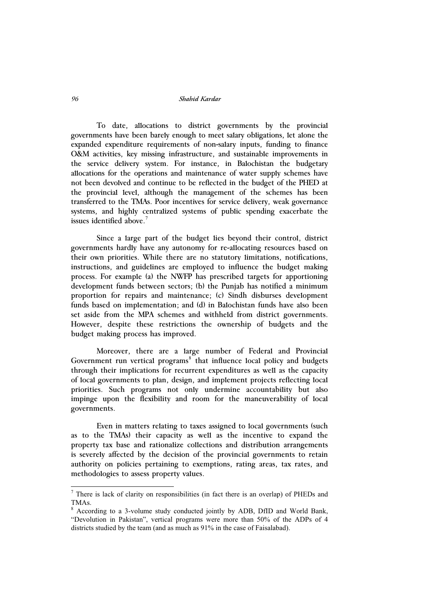To date, allocations to district governments by the provincial governments have been barely enough to meet salary obligations, let alone the expanded expenditure requirements of non-salary inputs, funding to finance O&M activities, key missing infrastructure, and sustainable improvements in the service delivery system. For instance, in Balochistan the budgetary allocations for the operations and maintenance of water supply schemes have not been devolved and continue to be reflected in the budget of the PHED at the provincial level, although the management of the schemes has been transferred to the TMAs. Poor incentives for service delivery, weak governance systems, and highly centralized systems of public spending exacerbate the issues identified above.<sup>7</sup>

Since a large part of the budget lies beyond their control, district governments hardly have any autonomy for re-allocating resources based on their own priorities. While there are no statutory limitations, notifications, instructions, and guidelines are employed to influence the budget making process. For example (a) the NWFP has prescribed targets for apportioning development funds between sectors; (b) the Punjab has notified a minimum proportion for repairs and maintenance; (c) Sindh disburses development funds based on implementation; and (d) in Balochistan funds have also been set aside from the MPA schemes and withheld from district governments. However, despite these restrictions the ownership of budgets and the budget making process has improved.

Moreover, there are a large number of Federal and Provincial Government run vertical programs<sup>8</sup> that influence local policy and budgets through their implications for recurrent expenditures as well as the capacity of local governments to plan, design, and implement projects reflecting local priorities. Such programs not only undermine accountability but also impinge upon the flexibility and room for the maneuverability of local governments.

Even in matters relating to taxes assigned to local governments (such as to the TMAs) their capacity as well as the incentive to expand the property tax base and rationalize collections and distribution arrangements is severely affected by the decision of the provincial governments to retain authority on policies pertaining to exemptions, rating areas, tax rates, and methodologies to assess property values.

<sup>&</sup>lt;sup>7</sup> There is lack of clarity on responsibilities (in fact there is an overlap) of PHEDs and TMAs.

<sup>8</sup> According to a 3-volume study conducted jointly by ADB, DfID and World Bank, "Devolution in Pakistan", vertical programs were more than 50% of the ADPs of 4 districts studied by the team (and as much as 91% in the case of Faisalabad).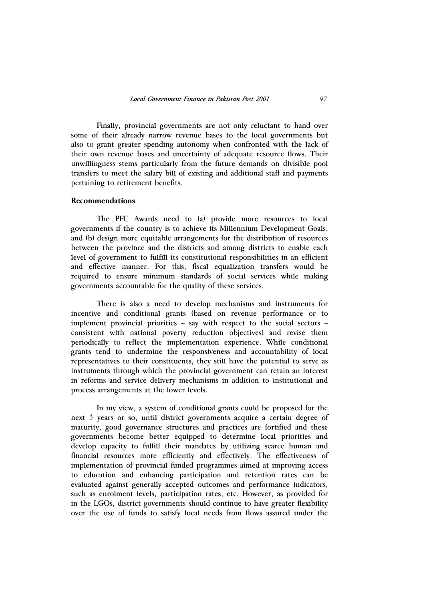Finally, provincial governments are not only reluctant to hand over some of their already narrow revenue bases to the local governments but also to grant greater spending autonomy when confronted with the lack of their own revenue bases and uncertainty of adequate resource flows. Their unwillingness stems particularly from the future demands on divisible pool transfers to meet the salary bill of existing and additional staff and payments pertaining to retirement benefits.

## **Recommendations**

The PFC Awards need to (a) provide more resources to local governments if the country is to achieve its Millennium Development Goals; and (b) design more equitable arrangements for the distribution of resources between the province and the districts and among districts to enable each level of government to fulfill its constitutional responsibilities in an efficient and effective manner. For this, fiscal equalization transfers would be required to ensure minimum standards of social services while making governments accountable for the quality of these services.

There is also a need to develop mechanisms and instruments for incentive and conditional grants (based on revenue performance or to implement provincial priorities – say with respect to the social sectors – consistent with national poverty reduction objectives) and revise them periodically to reflect the implementation experience. While conditional grants tend to undermine the responsiveness and accountability of local representatives to their constituents, they still have the potential to serve as instruments through which the provincial government can retain an interest in reforms and service delivery mechanisms in addition to institutional and process arrangements at the lower levels.

In my view, a system of conditional grants could be proposed for the next 3 years or so, until district governments acquire a certain degree of maturity, good governance structures and practices are fortified and these governments become better equipped to determine local priorities and develop capacity to fulfill their mandates by utilizing scarce human and financial resources more efficiently and effectively. The effectiveness of implementation of provincial funded programmes aimed at improving access to education and enhancing participation and retention rates can be evaluated against generally accepted outcomes and performance indicators, such as enrolment levels, participation rates, etc. However, as provided for in the LGOs, district governments should continue to have greater flexibility over the use of funds to satisfy local needs from flows assured under the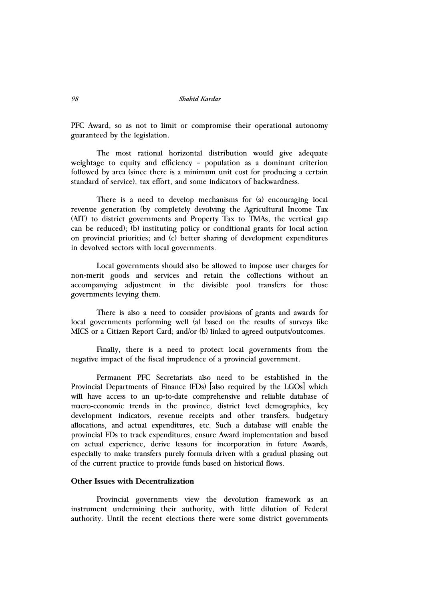PFC Award, so as not to limit or compromise their operational autonomy guaranteed by the legislation.

The most rational horizontal distribution would give adequate weightage to equity and efficiency – population as a dominant criterion followed by area (since there is a minimum unit cost for producing a certain standard of service), tax effort, and some indicators of backwardness.

There is a need to develop mechanisms for (a) encouraging local revenue generation (by completely devolving the Agricultural Income Tax (AIT) to district governments and Property Tax to TMAs, the vertical gap can be reduced); (b) instituting policy or conditional grants for local action on provincial priorities; and (c) better sharing of development expenditures in devolved sectors with local governments.

Local governments should also be allowed to impose user charges for non-merit goods and services and retain the collections without an accompanying adjustment in the divisible pool transfers for those governments levying them.

There is also a need to consider provisions of grants and awards for local governments performing well (a) based on the results of surveys like MICS or a Citizen Report Card; and/or (b) linked to agreed outputs/outcomes.

Finally, there is a need to protect local governments from the negative impact of the fiscal imprudence of a provincial government.

Permanent PFC Secretariats also need to be established in the Provincial Departments of Finance (FDs) [also required by the LGOs] which will have access to an up-to-date comprehensive and reliable database of macro-economic trends in the province, district level demographics, key development indicators, revenue receipts and other transfers, budgetary allocations, and actual expenditures, etc. Such a database will enable the provincial FDs to track expenditures, ensure Award implementation and based on actual experience, derive lessons for incorporation in future Awards, especially to make transfers purely formula driven with a gradual phasing out of the current practice to provide funds based on historical flows.

## **Other Issues with Decentralization**

Provincial governments view the devolution framework as an instrument undermining their authority, with little dilution of Federal authority. Until the recent elections there were some district governments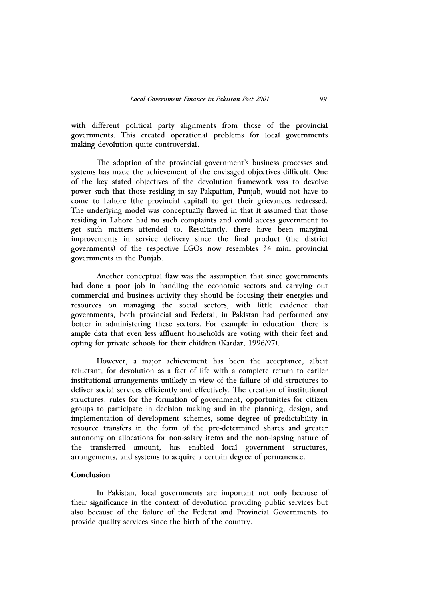with different political party alignments from those of the provincial governments. This created operational problems for local governments making devolution quite controversial.

The adoption of the provincial government's business processes and systems has made the achievement of the envisaged objectives difficult. One of the key stated objectives of the devolution framework was to devolve power such that those residing in say Pakpattan, Punjab, would not have to come to Lahore (the provincial capital) to get their grievances redressed. The underlying model was conceptually flawed in that it assumed that those residing in Lahore had no such complaints and could access government to get such matters attended to. Resultantly, there have been marginal improvements in service delivery since the final product (the district governments) of the respective LGOs now resembles 34 mini provincial governments in the Punjab.

Another conceptual flaw was the assumption that since governments had done a poor job in handling the economic sectors and carrying out commercial and business activity they should be focusing their energies and resources on managing the social sectors, with little evidence that governments, both provincial and Federal, in Pakistan had performed any better in administering these sectors. For example in education, there is ample data that even less affluent households are voting with their feet and opting for private schools for their children (Kardar, 1996/97).

However, a major achievement has been the acceptance, albeit reluctant, for devolution as a fact of life with a complete return to earlier institutional arrangements unlikely in view of the failure of old structures to deliver social services efficiently and effectively. The creation of institutional structures, rules for the formation of government, opportunities for citizen groups to participate in decision making and in the planning, design, and implementation of development schemes, some degree of predictability in resource transfers in the form of the pre-determined shares and greater autonomy on allocations for non-salary items and the non-lapsing nature of the transferred amount, has enabled local government structures, arrangements, and systems to acquire a certain degree of permanence.

### **Conclusion**

In Pakistan, local governments are important not only because of their significance in the context of devolution providing public services but also because of the failure of the Federal and Provincial Governments to provide quality services since the birth of the country.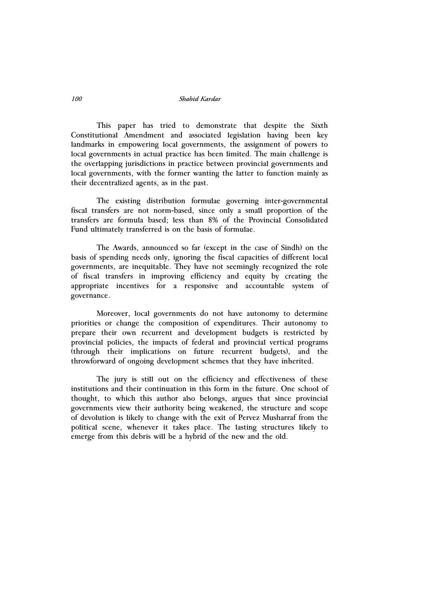This paper has tried to demonstrate that despite the Sixth Constitutional Amendment and associated legislation having been key landmarks in empowering local governments, the assignment of powers to local governments in actual practice has been limited. The main challenge is the overlapping jurisdictions in practice between provincial governments and local governments, with the former wanting the latter to function mainly as their decentralized agents, as in the past.

The existing distribution formulae governing inter-governmental fiscal transfers are not norm-based, since only a small proportion of the transfers are formula based; less than 8% of the Provincial Consolidated Fund ultimately transferred is on the basis of formulae.

The Awards, announced so far (except in the case of Sindh) on the basis of spending needs only, ignoring the fiscal capacities of different local governments, are inequitable. They have not seemingly recognized the role of fiscal transfers in improving efficiency and equity by creating the appropriate incentives for a responsive and accountable system of governance.

Moreover, local governments do not have autonomy to determine priorities or change the composition of expenditures. Their autonomy to prepare their own recurrent and development budgets is restricted by provincial policies, the impacts of federal and provincial vertical programs (through their implications on future recurrent budgets), and the throwforward of ongoing development schemes that they have inherited.

The jury is still out on the efficiency and effectiveness of these institutions and their continuation in this form in the future. One school of thought, to which this author also belongs, argues that since provincial governments view their authority being weakened, the structure and scope of devolution is likely to change with the exit of Pervez Musharraf from the political scene, whenever it takes place. The lasting structures likely to emerge from this debris will be a hybrid of the new and the old.